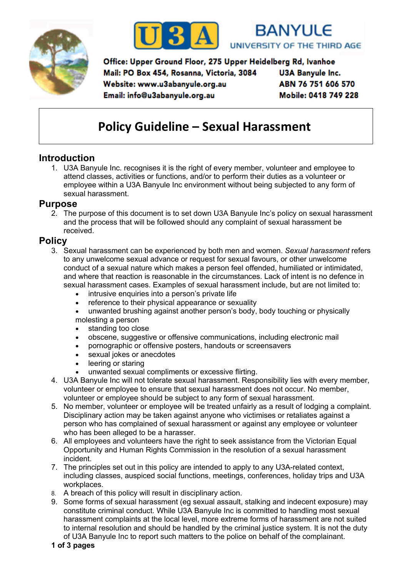





Office: Upper Ground Floor, 275 Upper Heidelberg Rd, Ivanhoe Mail: PO Box 454, Rosanna, Victoria, 3084 **U3A Banyule Inc.** ABN 76 751 606 570 Website: www.u3abanyule.org.au Mobile: 0418 749 228 Email: info@u3abanyule.org.au

# **Policy Guideline – Sexual Harassment**

# **Introduction**

1. U3A Banyule Inc. recognises it is the right of every member, volunteer and employee to attend classes, activities or functions, and/or to perform their duties as a volunteer or employee within a U3A Banyule Inc environment without being subjected to any form of sexual harassment.

#### **Purpose**

2. The purpose of this document is to set down U3A Banyule Inc's policy on sexual harassment and the process that will be followed should any complaint of sexual harassment be received.

### **Policy**

- 3. Sexual harassment can be experienced by both men and women. *Sexual harassment* refers to any unwelcome sexual advance or request for sexual favours, or other unwelcome conduct of a sexual nature which makes a person feel offended, humiliated or intimidated, and where that reaction is reasonable in the circumstances. Lack of intent is no defence in sexual harassment cases. Examples of sexual harassment include, but are not limited to:
	- intrusive enquiries into a person's private life
	- reference to their physical appearance or sexuality
	- unwanted brushing against another person's body, body touching or physically molesting a person
	- standing too close
	- obscene, suggestive or offensive communications, including electronic mail
	- pornographic or offensive posters, handouts or screensavers
	- sexual jokes or anecdotes
	- leering or staring
	- unwanted sexual compliments or excessive flirting.
- 4. U3A Banyule Inc will not tolerate sexual harassment. Responsibility lies with every member, volunteer or employee to ensure that sexual harassment does not occur. No member, volunteer or employee should be subject to any form of sexual harassment.
- 5. No member, volunteer or employee will be treated unfairly as a result of lodging a complaint. Disciplinary action may be taken against anyone who victimises or retaliates against a person who has complained of sexual harassment or against any employee or volunteer who has been alleged to be a harasser.
- 6. All employees and volunteers have the right to seek assistance from the Victorian Equal Opportunity and Human Rights Commission in the resolution of a sexual harassment incident.
- 7. The principles set out in this policy are intended to apply to any U3A-related context, including classes, auspiced social functions, meetings, conferences, holiday trips and U3A workplaces.
- 8. A breach of this policy will result in disciplinary action.
- 9. Some forms of sexual harassment (eg sexual assault, stalking and indecent exposure) may constitute criminal conduct. While U3A Banyule Inc is committed to handling most sexual harassment complaints at the local level, more extreme forms of harassment are not suited to internal resolution and should be handled by the criminal justice system. It is not the duty of U3A Banyule Inc to report such matters to the police on behalf of the complainant.
- **1 of 3 pages**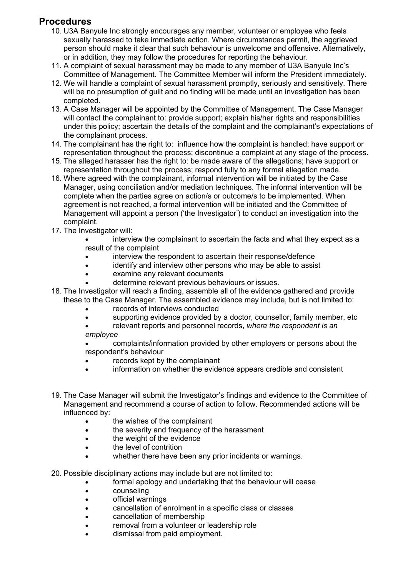# **Procedures**

- 10. U3A Banyule Inc strongly encourages any member, volunteer or employee who feels sexually harassed to take immediate action. Where circumstances permit, the aggrieved person should make it clear that such behaviour is unwelcome and offensive. Alternatively, or in addition, they may follow the procedures for reporting the behaviour.
- 11. A complaint of sexual harassment may be made to any member of U3A Banyule Inc's Committee of Management. The Committee Member will inform the President immediately.
- 12. We will handle a complaint of sexual harassment promptly, seriously and sensitively. There will be no presumption of guilt and no finding will be made until an investigation has been completed.
- 13. A Case Manager will be appointed by the Committee of Management. The Case Manager will contact the complainant to: provide support; explain his/her rights and responsibilities under this policy; ascertain the details of the complaint and the complainant's expectations of the complainant process.
- 14. The complainant has the right to: influence how the complaint is handled; have support or representation throughout the process; discontinue a complaint at any stage of the process.
- 15. The alleged harasser has the right to: be made aware of the allegations; have support or representation throughout the process; respond fully to any formal allegation made.
- 16. Where agreed with the complainant, informal intervention will be initiated by the Case Manager, using conciliation and/or mediation techniques. The informal intervention will be complete when the parties agree on action/s or outcome/s to be implemented. When agreement is not reached, a formal intervention will be initiated and the Committee of Management will appoint a person ('the Investigator') to conduct an investigation into the complaint.
- 17. The Investigator will:
	- interview the complainant to ascertain the facts and what they expect as a result of the complaint
	- interview the respondent to ascertain their response/defence
	- identify and interview other persons who may be able to assist
	- examine any relevant documents
	- determine relevant previous behaviours or issues.
- 18. The Investigator will reach a finding, assemble all of the evidence gathered and provide these to the Case Manager. The assembled evidence may include, but is not limited to:
	- records of interviews conducted
	- supporting evidence provided by a doctor, counsellor, family member, etc
	- relevant reports and personnel records, *where the respondent is an employee*
	- complaints/information provided by other employers or persons about the respondent's behaviour
	- records kept by the complainant
	- information on whether the evidence appears credible and consistent
- 19. The Case Manager will submit the Investigator's findings and evidence to the Committee of Management and recommend a course of action to follow. Recommended actions will be influenced by:
	- the wishes of the complainant
	- the severity and frequency of the harassment
	- the weight of the evidence
	- the level of contrition
	- whether there have been any prior incidents or warnings.

20. Possible disciplinary actions may include but are not limited to:

- formal apology and undertaking that the behaviour will cease
- counseling
- official warnings
- cancellation of enrolment in a specific class or classes
- cancellation of membership
- removal from a volunteer or leadership role
- dismissal from paid employment.